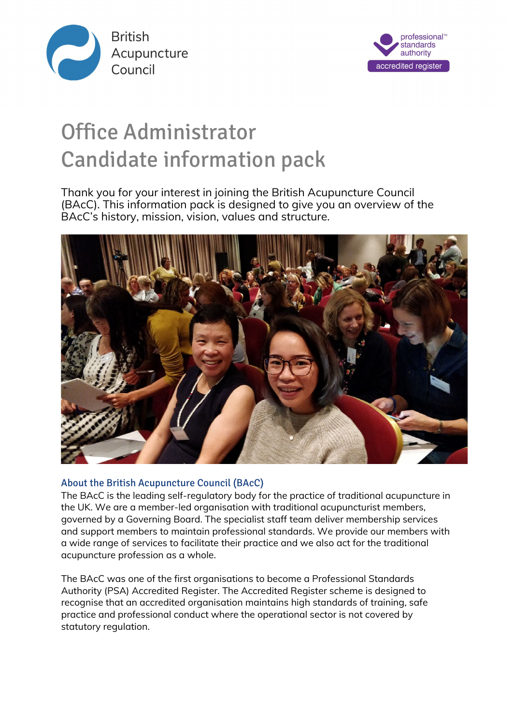



# Office Administrator Candidate information pack

Thank you for your interest in joining the British Acupuncture Council (BAcC). This information pack is designed to give you an overview of the BAcC's history, mission, vision, values and structure.



# About the British Acupuncture Council (BAcC)

The BAcC is the leading self-regulatory body for the practice of traditional acupuncture in the UK. We are a member-led organisation with traditional acupuncturist members, governed by a Governing Board. The specialist staff team deliver membership services and support members to maintain professional standards. We provide our members with a wide range of services to facilitate their practice and we also act for the traditional acupuncture profession as a whole.

The BAcC was one of the first organisations to become a Professional Standards Authority (PSA) Accredited Register. The Accredited Register scheme is designed to recognise that an accredited organisation maintains high standards of training, safe practice and professional conduct where the operational sector is not covered by statutory regulation.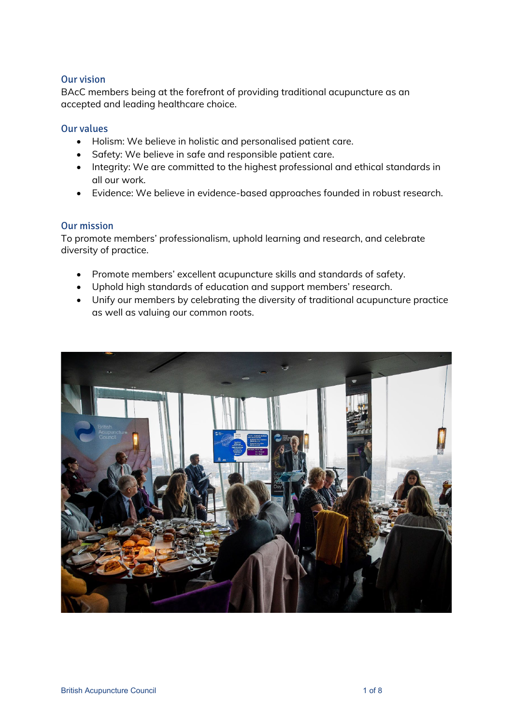## Our vision

BAcC members being at the forefront of providing traditional acupuncture as an accepted and leading healthcare choice.

## Our values

- Holism: We believe in holistic and personalised patient care.
- Safety: We believe in safe and responsible patient care.
- Integrity: We are committed to the highest professional and ethical standards in all our work.
- Evidence: We believe in evidence-based approaches founded in robust research.

## Our mission

To promote members' professionalism, uphold learning and research, and celebrate diversity of practice.

- Promote members' excellent acupuncture skills and standards of safety.
- Uphold high standards of education and support members' research.
- Unify our members by celebrating the diversity of traditional acupuncture practice as well as valuing our common roots.

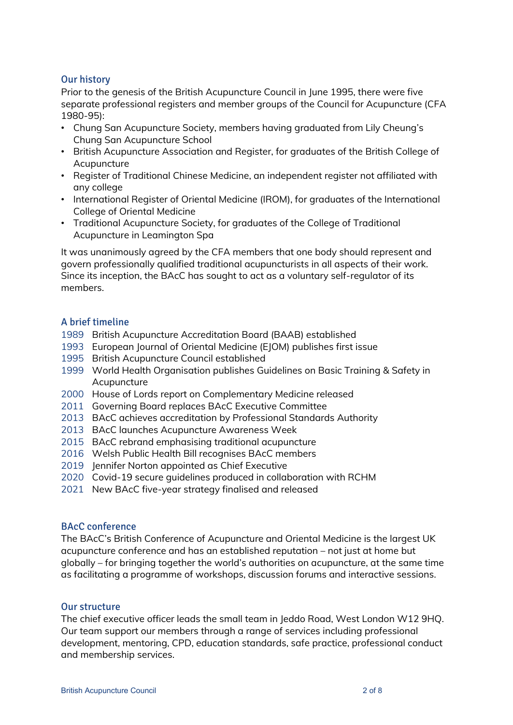## Our history

Prior to the genesis of the British Acupuncture Council in June 1995, there were five separate professional registers and member groups of the Council for Acupuncture (CFA 1980-95):

- Chung San Acupuncture Society, members having graduated from Lily Cheung's Chung San Acupuncture School
- British Acupuncture Association and Register, for graduates of the British College of Acupuncture
- Register of Traditional Chinese Medicine, an independent register not affiliated with any college
- International Register of Oriental Medicine (IROM), for graduates of the International College of Oriental Medicine
- Traditional Acupuncture Society, for graduates of the College of Traditional Acupuncture in Leamington Spa

It was unanimously agreed by the CFA members that one body should represent and govern professionally qualified traditional acupuncturists in all aspects of their work. Since its inception, the BAcC has sought to act as a voluntary self-regulator of its members.

## A brief timeline

- 1989 British Acupuncture Accreditation Board (BAAB) established
- 1993 European Journal of Oriental Medicine (EJOM) publishes first issue
- 1995 British Acupuncture Council established
- 1999 World Health Organisation publishes Guidelines on Basic Training & Safety in Acupuncture
- 2000 House of Lords report on Complementary Medicine released
- 2011 Governing Board replaces BAcC Executive Committee
- 2013 BAcC achieves accreditation by Professional Standards Authority
- 2013 BAcC launches Acupuncture Awareness Week
- 2015 BAcC rebrand emphasising traditional acupuncture
- 2016 Welsh Public Health Bill recognises BAcC members
- 2019 Jennifer Norton appointed as Chief Executive
- 2020 Covid-19 secure guidelines produced in collaboration with RCHM
- 2021 New BAcC five-year strategy finalised and released

## BAcC conference

The BAcC's British Conference of Acupuncture and Oriental Medicine is the largest UK acupuncture conference and has an established reputation – not just at home but globally – for bringing together the world's authorities on acupuncture, at the same time as facilitating a programme of workshops, discussion forums and interactive sessions.

## Our structure

The chief executive officer leads the small team in Jeddo Road, West London W12 9HQ. Our team support our members through a range of services including professional development, mentoring, CPD, education standards, safe practice, professional conduct and membership services.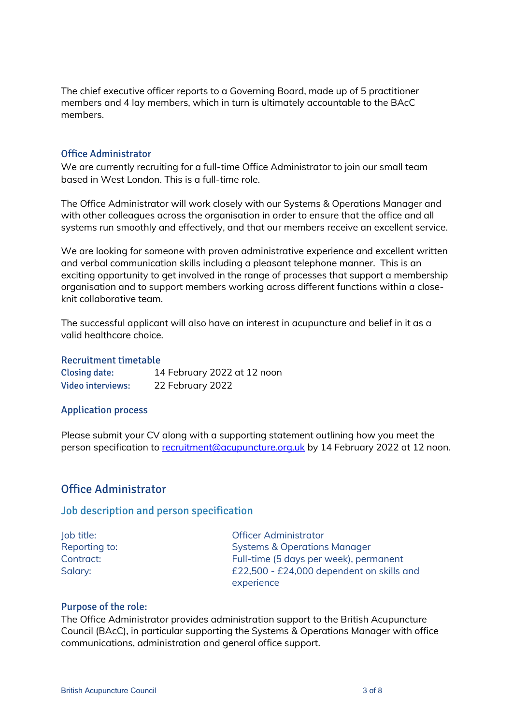The chief executive officer reports to a Governing Board, made up of 5 practitioner members and 4 lay members, which in turn is ultimately accountable to the BAcC members.

## Office Administrator

We are currently recruiting for a full-time Office Administrator to join our small team based in West London. This is a full-time role.

The Office Administrator will work closely with our Systems & Operations Manager and with other colleagues across the organisation in order to ensure that the office and all systems run smoothly and effectively, and that our members receive an excellent service.

We are looking for someone with proven administrative experience and excellent written and verbal communication skills including a pleasant telephone manner. This is an exciting opportunity to get involved in the range of processes that support a membership organisation and to support members working across different functions within a closeknit collaborative team.

The successful applicant will also have an interest in acupuncture and belief in it as a valid healthcare choice.

#### Recruitment timetable

| <b>Closing date:</b>     | 14 February 2022 at 12 noon |
|--------------------------|-----------------------------|
| <b>Video interviews:</b> | 22 February 2022            |

#### Application process

Please submit your CV along with a supporting statement outlining how you meet the person specification to [recruitment@acupuncture.org.uk](mailto:recruitment@acupuncture.org.uk) by 14 February 2022 at 12 noon.

## Office Administrator

#### Job description and person specification

Job title: Officer Administrator Reporting to: Systems & Operations Manager Contract: Full-time (5 days per week), permanent Salary: Salary: E22,500 - £24,000 dependent on skills and experience

#### Purpose of the role:

The Office Administrator provides administration support to the British Acupuncture Council (BAcC), in particular supporting the Systems & Operations Manager with office communications, administration and general office support.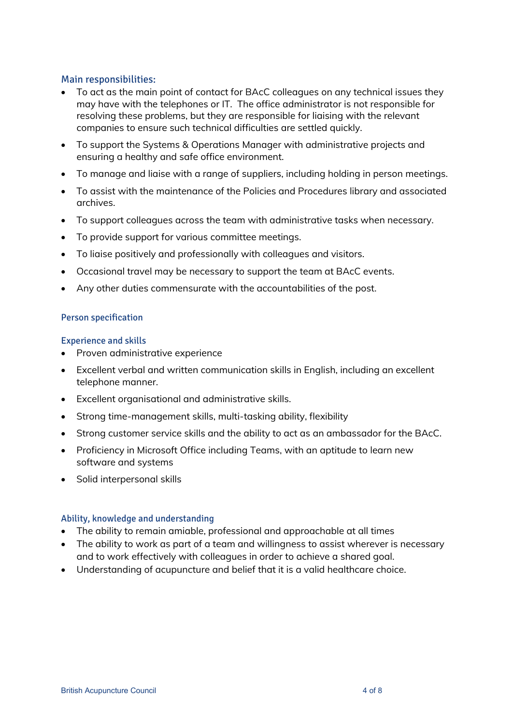## Main responsibilities:

- To act as the main point of contact for BAcC colleagues on any technical issues they may have with the telephones or IT. The office administrator is not responsible for resolving these problems, but they are responsible for liaising with the relevant companies to ensure such technical difficulties are settled quickly.
- To support the Systems & Operations Manager with administrative projects and ensuring a healthy and safe office environment.
- To manage and liaise with a range of suppliers, including holding in person meetings.
- To assist with the maintenance of the Policies and Procedures library and associated archives.
- To support colleagues across the team with administrative tasks when necessary.
- To provide support for various committee meetings.
- To liaise positively and professionally with colleagues and visitors.
- Occasional travel may be necessary to support the team at BAcC events.
- Any other duties commensurate with the accountabilities of the post.

## Person specification

## Experience and skills

- Proven administrative experience
- Excellent verbal and written communication skills in English, including an excellent telephone manner.
- Excellent organisational and administrative skills.
- Strong time-management skills, multi-tasking ability, flexibility
- Strong customer service skills and the ability to act as an ambassador for the BAcC.
- Proficiency in Microsoft Office including Teams, with an aptitude to learn new software and systems
- Solid interpersonal skills

## Ability, knowledge and understanding

- The ability to remain amiable, professional and approachable at all times
- The ability to work as part of a team and willingness to assist wherever is necessary and to work effectively with colleagues in order to achieve a shared goal.
- Understanding of acupuncture and belief that it is a valid healthcare choice.